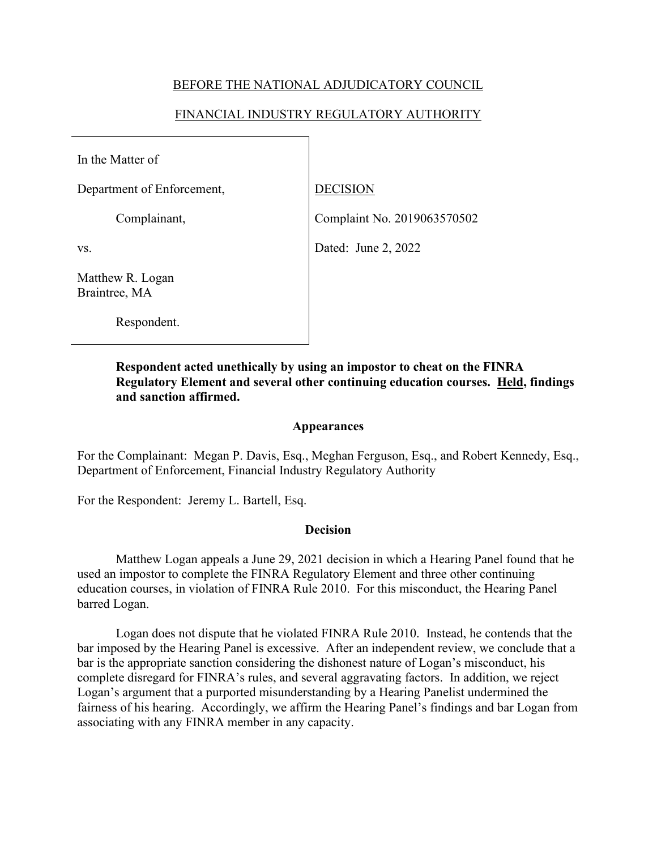## BEFORE THE NATIONAL ADJUDICATORY COUNCIL

# FINANCIAL INDUSTRY REGULATORY AUTHORITY

In the Matter of

Department of Enforcement, DECISION

Complainant, Complaint No. 2019063570502

vs. Dated: June 2, 2022

Matthew R. Logan Braintree, MA

Respondent.

**Respondent acted unethically by using an impostor to cheat on the FINRA Regulatory Element and several other continuing education courses. Held, findings and sanction affirmed.** 

### **Appearances**

For the Complainant: Megan P. Davis, Esq., Meghan Ferguson, Esq., and Robert Kennedy, Esq., Department of Enforcement, Financial Industry Regulatory Authority

For the Respondent: Jeremy L. Bartell, Esq.

## **Decision**

 Matthew Logan appeals a June 29, 2021 decision in which a Hearing Panel found that he used an impostor to complete the FINRA Regulatory Element and three other continuing education courses, in violation of FINRA Rule 2010. For this misconduct, the Hearing Panel barred Logan.

Logan does not dispute that he violated FINRA Rule 2010. Instead, he contends that the bar imposed by the Hearing Panel is excessive. After an independent review, we conclude that a bar is the appropriate sanction considering the dishonest nature of Logan's misconduct, his complete disregard for FINRA's rules, and several aggravating factors. In addition, we reject Logan's argument that a purported misunderstanding by a Hearing Panelist undermined the fairness of his hearing. Accordingly, we affirm the Hearing Panel's findings and bar Logan from associating with any FINRA member in any capacity.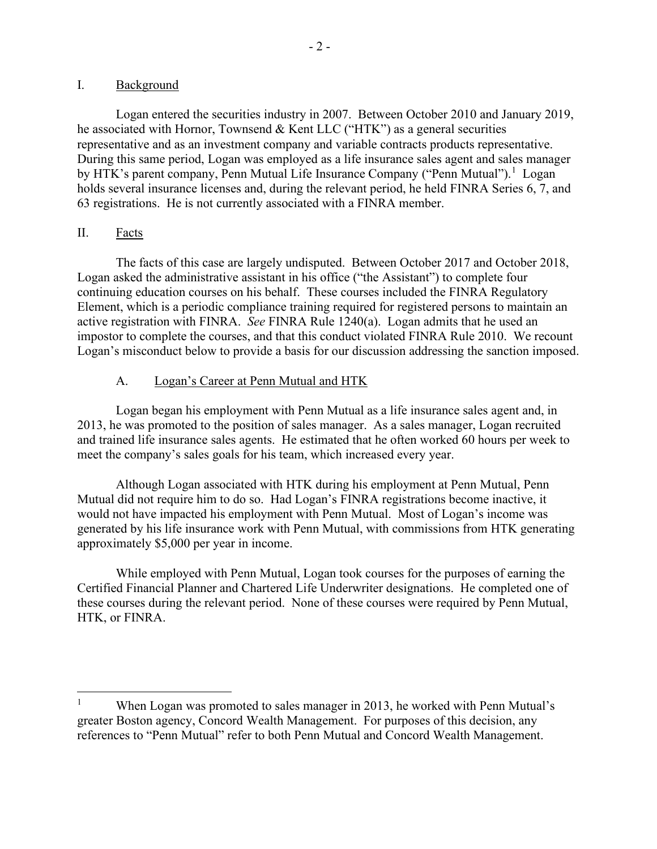Logan entered the securities industry in 2007. Between October 2010 and January 2019, he associated with Hornor, Townsend & Kent LLC ("HTK") as a general securities representative and as an investment company and variable contracts products representative. During this same period, Logan was employed as a life insurance sales agent and sales manager by HTK's parent company, Penn Mutual Life Insurance Company ("Penn Mutual").<sup>[1](#page-1-0)</sup> Logan holds several insurance licenses and, during the relevant period, he held FINRA Series 6, 7, and 63 registrations. He is not currently associated with a FINRA member.

## II. Facts

The facts of this case are largely undisputed. Between October 2017 and October 2018, Logan asked the administrative assistant in his office ("the Assistant") to complete four continuing education courses on his behalf. These courses included the FINRA Regulatory Element, which is a periodic compliance training required for registered persons to maintain an active registration with FINRA. *See* FINRA Rule 1240(a). Logan admits that he used an impostor to complete the courses, and that this conduct violated FINRA Rule 2010. We recount Logan's misconduct below to provide a basis for our discussion addressing the sanction imposed.

# A. Logan's Career at Penn Mutual and HTK

 Logan began his employment with Penn Mutual as a life insurance sales agent and, in 2013, he was promoted to the position of sales manager. As a sales manager, Logan recruited and trained life insurance sales agents. He estimated that he often worked 60 hours per week to meet the company's sales goals for his team, which increased every year.

 Although Logan associated with HTK during his employment at Penn Mutual, Penn Mutual did not require him to do so. Had Logan's FINRA registrations become inactive, it would not have impacted his employment with Penn Mutual. Most of Logan's income was generated by his life insurance work with Penn Mutual, with commissions from HTK generating approximately \$5,000 per year in income.

While employed with Penn Mutual, Logan took courses for the purposes of earning the Certified Financial Planner and Chartered Life Underwriter designations. He completed one of these courses during the relevant period. None of these courses were required by Penn Mutual, HTK, or FINRA.

<span id="page-1-0"></span><sup>1</sup> When Logan was promoted to sales manager in 2013, he worked with Penn Mutual's greater Boston agency, Concord Wealth Management. For purposes of this decision, any references to "Penn Mutual" refer to both Penn Mutual and Concord Wealth Management.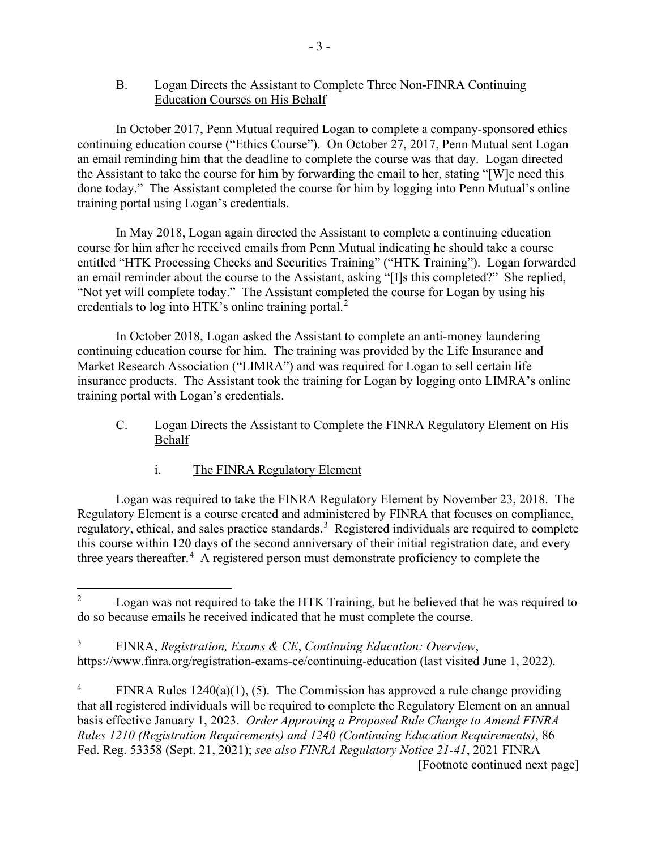## B. Logan Directs the Assistant to Complete Three Non-FINRA Continuing Education Courses on His Behalf

 In October 2017, Penn Mutual required Logan to complete a company-sponsored ethics continuing education course ("Ethics Course"). On October 27, 2017, Penn Mutual sent Logan an email reminding him that the deadline to complete the course was that day. Logan directed the Assistant to take the course for him by forwarding the email to her, stating "[W]e need this done today." The Assistant completed the course for him by logging into Penn Mutual's online training portal using Logan's credentials.

 In May 2018, Logan again directed the Assistant to complete a continuing education course for him after he received emails from Penn Mutual indicating he should take a course entitled "HTK Processing Checks and Securities Training" ("HTK Training"). Logan forwarded an email reminder about the course to the Assistant, asking "[I]s this completed?" She replied, "Not yet will complete today." The Assistant completed the course for Logan by using his credentials to log into HTK's online training portal. $2$ 

 In October 2018, Logan asked the Assistant to complete an anti-money laundering continuing education course for him. The training was provided by the Life Insurance and Market Research Association ("LIMRA") and was required for Logan to sell certain life insurance products. The Assistant took the training for Logan by logging onto LIMRA's online training portal with Logan's credentials.

- C. Logan Directs the Assistant to Complete the FINRA Regulatory Element on His Behalf
	- i. The FINRA Regulatory Element

Logan was required to take the FINRA Regulatory Element by November 23, 2018. The Regulatory Element is a course created and administered by FINRA that focuses on compliance, regulatory, ethical, and sales practice standards.<sup>[3](#page-2-1)</sup> Registered individuals are required to complete this course within 120 days of the second anniversary of their initial registration date, and every three years thereafter.<sup>[4](#page-2-2)</sup> A registered person must demonstrate proficiency to complete the

<span id="page-2-0"></span><sup>2</sup> Logan was not required to take the HTK Training, but he believed that he was required to do so because emails he received indicated that he must complete the course.

<span id="page-2-1"></span><sup>3</sup> FINRA, *Registration, Exams & CE*, *Continuing Education: Overview*, https://www.finra.org/registration-exams-ce/continuing-education (last visited June 1, 2022).

<span id="page-2-2"></span><sup>4</sup> FINRA Rules 1240(a)(1), (5). The Commission has approved a rule change providing that all registered individuals will be required to complete the Regulatory Element on an annual basis effective January 1, 2023. *Order Approving a Proposed Rule Change to Amend FINRA Rules 1210 (Registration Requirements) and 1240 (Continuing Education Requirements)*, 86 Fed. Reg. 53358 (Sept. 21, 2021); *see also FINRA Regulatory Notice 21-41*, 2021 FINRA [Footnote continued next page]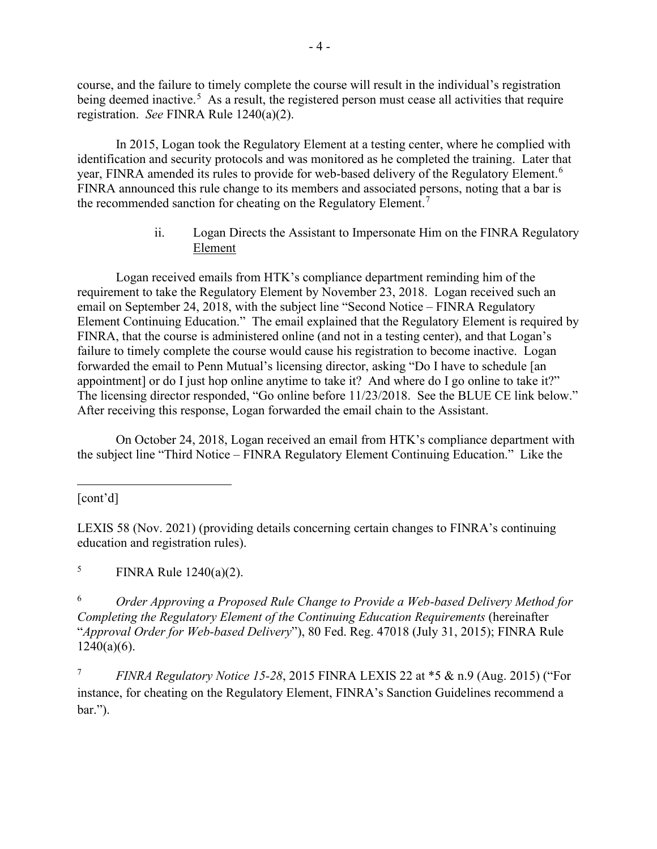course, and the failure to timely complete the course will result in the individual's registration being deemed inactive.<sup>[5](#page-3-0)</sup> As a result, the registered person must cease all activities that require registration. *See* FINRA Rule 1240(a)(2).

In 2015, Logan took the Regulatory Element at a testing center, where he complied with identification and security protocols and was monitored as he completed the training. Later that year, FINRA amended its rules to provide for web-based delivery of the Regulatory Element.<sup>[6](#page-3-1)</sup> FINRA announced this rule change to its members and associated persons, noting that a bar is the recommended sanction for cheating on the Regulatory Element.<sup>[7](#page-3-2)</sup>

> ii. Logan Directs the Assistant to Impersonate Him on the FINRA Regulatory Element

 Logan received emails from HTK's compliance department reminding him of the requirement to take the Regulatory Element by November 23, 2018. Logan received such an email on September 24, 2018, with the subject line "Second Notice – FINRA Regulatory Element Continuing Education." The email explained that the Regulatory Element is required by FINRA, that the course is administered online (and not in a testing center), and that Logan's failure to timely complete the course would cause his registration to become inactive. Logan forwarded the email to Penn Mutual's licensing director, asking "Do I have to schedule [an appointment] or do I just hop online anytime to take it? And where do I go online to take it?" The licensing director responded, "Go online before 11/23/2018. See the BLUE CE link below." After receiving this response, Logan forwarded the email chain to the Assistant.

 On October 24, 2018, Logan received an email from HTK's compliance department with the subject line "Third Notice – FINRA Regulatory Element Continuing Education." Like the

[cont'd]

LEXIS 58 (Nov. 2021) (providing details concerning certain changes to FINRA's continuing education and registration rules).

<span id="page-3-0"></span>5 FINRA Rule 1240(a)(2).

<span id="page-3-1"></span>6 *Order Approving a Proposed Rule Change to Provide a Web-based Delivery Method for Completing the Regulatory Element of the Continuing Education Requirements* (hereinafter "*Approval Order for Web-based Delivery*"), 80 Fed. Reg. 47018 (July 31, 2015); FINRA Rule  $1240(a)(6)$ .

<span id="page-3-2"></span>7 *FINRA Regulatory Notice 15-28*, 2015 FINRA LEXIS 22 at \*5 & n.9 (Aug. 2015) ("For instance, for cheating on the Regulatory Element, FINRA's Sanction Guidelines recommend a bar.").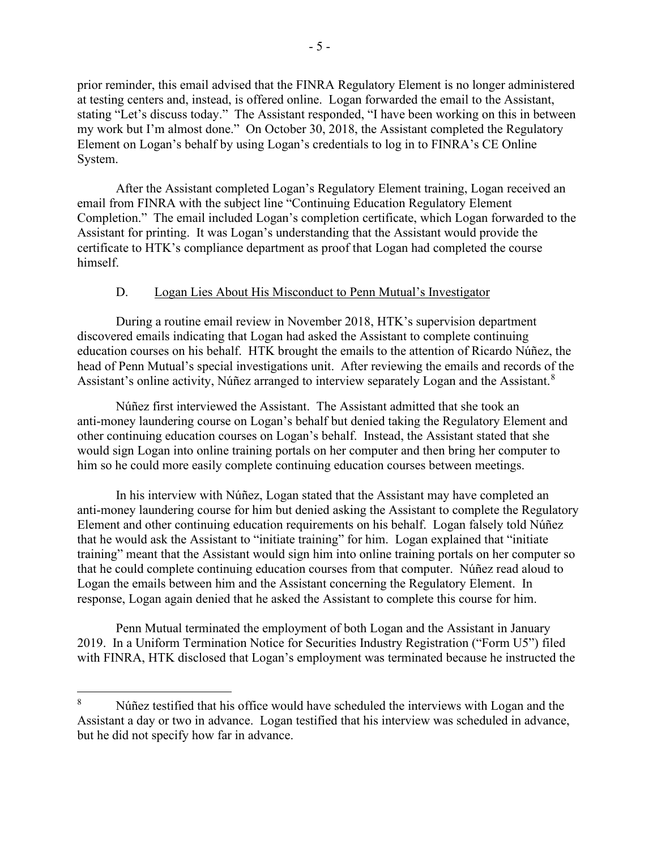prior reminder, this email advised that the FINRA Regulatory Element is no longer administered at testing centers and, instead, is offered online. Logan forwarded the email to the Assistant, stating "Let's discuss today." The Assistant responded, "I have been working on this in between my work but I'm almost done." On October 30, 2018, the Assistant completed the Regulatory Element on Logan's behalf by using Logan's credentials to log in to FINRA's CE Online System.

After the Assistant completed Logan's Regulatory Element training, Logan received an email from FINRA with the subject line "Continuing Education Regulatory Element Completion." The email included Logan's completion certificate, which Logan forwarded to the Assistant for printing. It was Logan's understanding that the Assistant would provide the certificate to HTK's compliance department as proof that Logan had completed the course himself.

### D. Logan Lies About His Misconduct to Penn Mutual's Investigator

During a routine email review in November 2018, HTK's supervision department discovered emails indicating that Logan had asked the Assistant to complete continuing education courses on his behalf. HTK brought the emails to the attention of Ricardo Núñez, the head of Penn Mutual's special investigations unit. After reviewing the emails and records of the Assistant's online activity, Núñez arranged to interview separately Logan and the Assistant.<sup>[8](#page-4-0)</sup>

Núñez first interviewed the Assistant. The Assistant admitted that she took an anti-money laundering course on Logan's behalf but denied taking the Regulatory Element and other continuing education courses on Logan's behalf. Instead, the Assistant stated that she would sign Logan into online training portals on her computer and then bring her computer to him so he could more easily complete continuing education courses between meetings.

In his interview with Núñez, Logan stated that the Assistant may have completed an anti-money laundering course for him but denied asking the Assistant to complete the Regulatory Element and other continuing education requirements on his behalf. Logan falsely told Núñez that he would ask the Assistant to "initiate training" for him. Logan explained that "initiate training" meant that the Assistant would sign him into online training portals on her computer so that he could complete continuing education courses from that computer. Núñez read aloud to Logan the emails between him and the Assistant concerning the Regulatory Element. In response, Logan again denied that he asked the Assistant to complete this course for him.

Penn Mutual terminated the employment of both Logan and the Assistant in January 2019. In a Uniform Termination Notice for Securities Industry Registration ("Form U5") filed with FINRA, HTK disclosed that Logan's employment was terminated because he instructed the

<span id="page-4-0"></span><sup>8</sup> Núñez testified that his office would have scheduled the interviews with Logan and the Assistant a day or two in advance. Logan testified that his interview was scheduled in advance, but he did not specify how far in advance.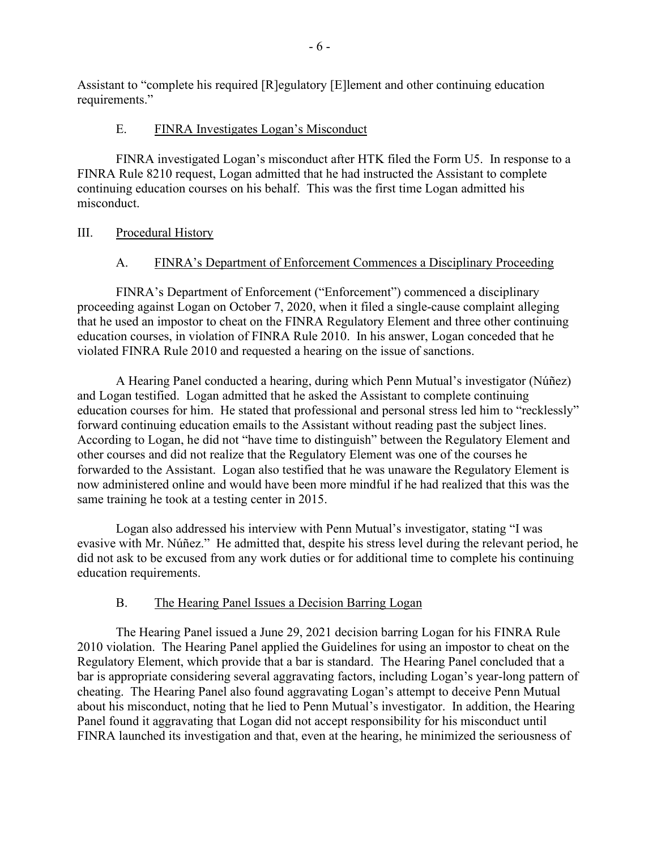Assistant to "complete his required [R]egulatory [E]lement and other continuing education requirements."

# E. FINRA Investigates Logan's Misconduct

FINRA investigated Logan's misconduct after HTK filed the Form U5. In response to a FINRA Rule 8210 request, Logan admitted that he had instructed the Assistant to complete continuing education courses on his behalf. This was the first time Logan admitted his misconduct.

# III. Procedural History

# A. FINRA's Department of Enforcement Commences a Disciplinary Proceeding

FINRA's Department of Enforcement ("Enforcement") commenced a disciplinary proceeding against Logan on October 7, 2020, when it filed a single-cause complaint alleging that he used an impostor to cheat on the FINRA Regulatory Element and three other continuing education courses, in violation of FINRA Rule 2010. In his answer, Logan conceded that he violated FINRA Rule 2010 and requested a hearing on the issue of sanctions.

A Hearing Panel conducted a hearing, during which Penn Mutual's investigator (Núñez) and Logan testified. Logan admitted that he asked the Assistant to complete continuing education courses for him. He stated that professional and personal stress led him to "recklessly" forward continuing education emails to the Assistant without reading past the subject lines. According to Logan, he did not "have time to distinguish" between the Regulatory Element and other courses and did not realize that the Regulatory Element was one of the courses he forwarded to the Assistant. Logan also testified that he was unaware the Regulatory Element is now administered online and would have been more mindful if he had realized that this was the same training he took at a testing center in 2015.

Logan also addressed his interview with Penn Mutual's investigator, stating "I was evasive with Mr. Núñez." He admitted that, despite his stress level during the relevant period, he did not ask to be excused from any work duties or for additional time to complete his continuing education requirements.

# B. The Hearing Panel Issues a Decision Barring Logan

The Hearing Panel issued a June 29, 2021 decision barring Logan for his FINRA Rule 2010 violation. The Hearing Panel applied the Guidelines for using an impostor to cheat on the Regulatory Element, which provide that a bar is standard. The Hearing Panel concluded that a bar is appropriate considering several aggravating factors, including Logan's year-long pattern of cheating. The Hearing Panel also found aggravating Logan's attempt to deceive Penn Mutual about his misconduct, noting that he lied to Penn Mutual's investigator. In addition, the Hearing Panel found it aggravating that Logan did not accept responsibility for his misconduct until FINRA launched its investigation and that, even at the hearing, he minimized the seriousness of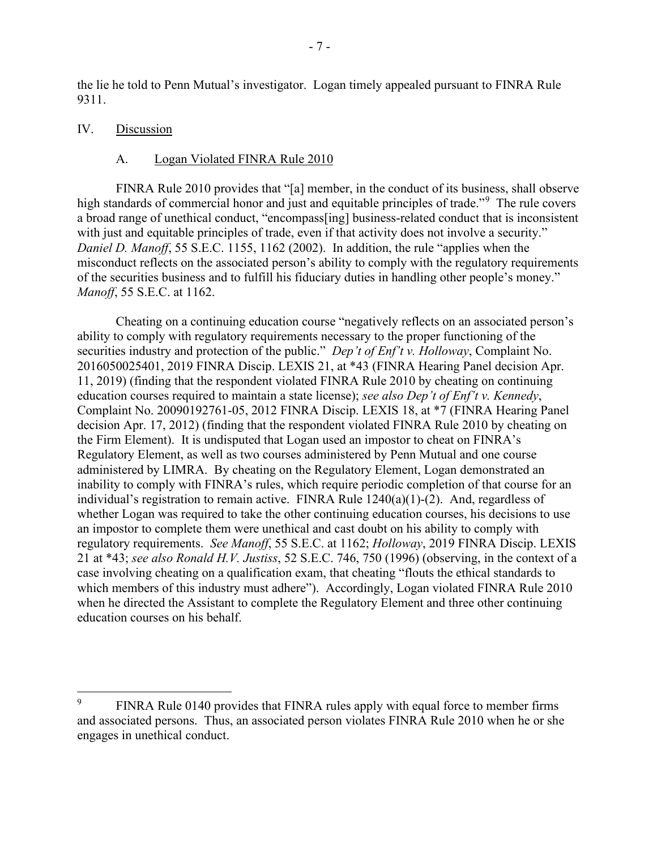the lie he told to Penn Mutual's investigator. Logan timely appealed pursuant to FINRA Rule 9311.

#### IV. Discussion

#### A. Logan Violated FINRA Rule 2010

FINRA Rule 2010 provides that "[a] member, in the conduct of its business, shall observe high standards of commercial honor and just and equitable principles of trade."<sup>[9](#page-6-0)</sup> The rule covers a broad range of unethical conduct, "encompass[ing] business-related conduct that is inconsistent with just and equitable principles of trade, even if that activity does not involve a security." *Daniel D. Manoff*, 55 S.E.C. 1155, 1162 (2002). In addition, the rule "applies when the misconduct reflects on the associated person's ability to comply with the regulatory requirements of the securities business and to fulfill his fiduciary duties in handling other people's money." *Manoff*, 55 S.E.C. at 1162.

Cheating on a continuing education course "negatively reflects on an associated person's ability to comply with regulatory requirements necessary to the proper functioning of the securities industry and protection of the public." *Dep't of Enf't v. Holloway*, Complaint No. 2016050025401, 2019 FINRA Discip. LEXIS 21, at \*43 (FINRA Hearing Panel decision Apr. 11, 2019) (finding that the respondent violated FINRA Rule 2010 by cheating on continuing education courses required to maintain a state license); *see also Dep't of Enf't v. Kennedy*, Complaint No. 20090192761-05, 2012 FINRA Discip. LEXIS 18, at \*7 (FINRA Hearing Panel decision Apr. 17, 2012) (finding that the respondent violated FINRA Rule 2010 by cheating on the Firm Element). It is undisputed that Logan used an impostor to cheat on FINRA's Regulatory Element, as well as two courses administered by Penn Mutual and one course administered by LIMRA. By cheating on the Regulatory Element, Logan demonstrated an inability to comply with FINRA's rules, which require periodic completion of that course for an individual's registration to remain active. FINRA Rule  $1240(a)(1)-(2)$ . And, regardless of whether Logan was required to take the other continuing education courses, his decisions to use an impostor to complete them were unethical and cast doubt on his ability to comply with regulatory requirements. *See Manoff*, 55 S.E.C. at 1162; *Holloway*, 2019 FINRA Discip. LEXIS 21 at \*43; *see also Ronald H.V. Justiss*, 52 S.E.C. 746, 750 (1996) (observing, in the context of a case involving cheating on a qualification exam, that cheating "flouts the ethical standards to which members of this industry must adhere"). Accordingly, Logan violated FINRA Rule 2010 when he directed the Assistant to complete the Regulatory Element and three other continuing education courses on his behalf.

<span id="page-6-0"></span><sup>9</sup> FINRA Rule 0140 provides that FINRA rules apply with equal force to member firms and associated persons. Thus, an associated person violates FINRA Rule 2010 when he or she engages in unethical conduct.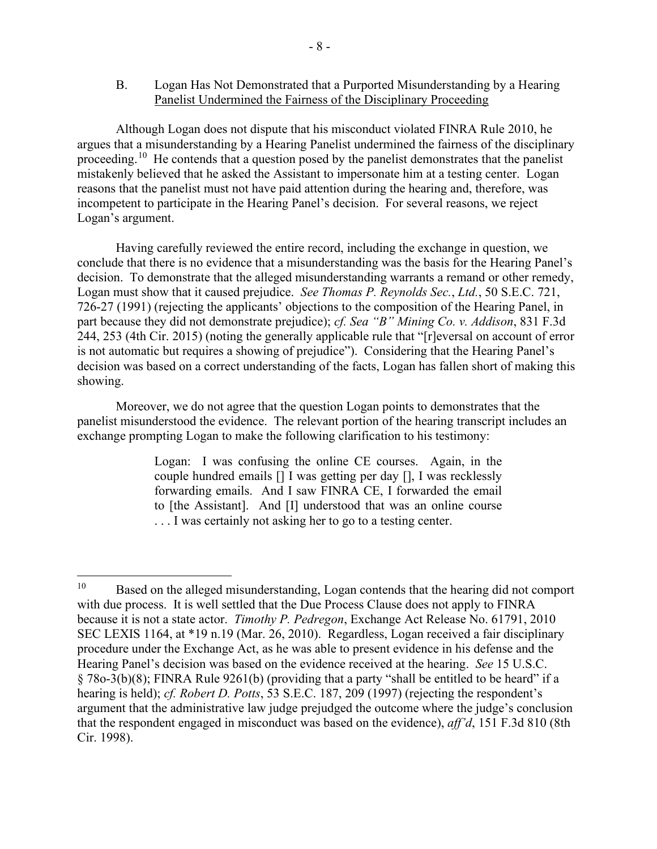## B. Logan Has Not Demonstrated that a Purported Misunderstanding by a Hearing Panelist Undermined the Fairness of the Disciplinary Proceeding

Although Logan does not dispute that his misconduct violated FINRA Rule 2010, he argues that a misunderstanding by a Hearing Panelist undermined the fairness of the disciplinary proceeding.<sup>[10](#page-7-0)</sup> He contends that a question posed by the panelist demonstrates that the panelist mistakenly believed that he asked the Assistant to impersonate him at a testing center. Logan reasons that the panelist must not have paid attention during the hearing and, therefore, was incompetent to participate in the Hearing Panel's decision. For several reasons, we reject Logan's argument.

Having carefully reviewed the entire record, including the exchange in question, we conclude that there is no evidence that a misunderstanding was the basis for the Hearing Panel's decision. To demonstrate that the alleged misunderstanding warrants a remand or other remedy, Logan must show that it caused prejudice. *See Thomas P. Reynolds Sec.*, *Ltd.*, 50 S.E.C. 721, 726-27 (1991) (rejecting the applicants' objections to the composition of the Hearing Panel, in part because they did not demonstrate prejudice); *cf. Sea "B" Mining Co. v. Addison*, 831 F.3d 244, 253 (4th Cir. 2015) (noting the generally applicable rule that "[r]eversal on account of error is not automatic but requires a showing of prejudice"). Considering that the Hearing Panel's decision was based on a correct understanding of the facts, Logan has fallen short of making this showing.

Moreover, we do not agree that the question Logan points to demonstrates that the panelist misunderstood the evidence. The relevant portion of the hearing transcript includes an exchange prompting Logan to make the following clarification to his testimony:

> Logan: I was confusing the online CE courses. Again, in the couple hundred emails [] I was getting per day [], I was recklessly forwarding emails. And I saw FINRA CE, I forwarded the email to [the Assistant]. And [I] understood that was an online course . . . I was certainly not asking her to go to a testing center.

<span id="page-7-0"></span><sup>&</sup>lt;sup>10</sup> Based on the alleged misunderstanding, Logan contends that the hearing did not comport with due process. It is well settled that the Due Process Clause does not apply to FINRA because it is not a state actor. *Timothy P. Pedregon*, Exchange Act Release No. 61791, 2010 SEC LEXIS 1164, at \*19 n.19 (Mar. 26, 2010). Regardless, Logan received a fair disciplinary procedure under the Exchange Act, as he was able to present evidence in his defense and the Hearing Panel's decision was based on the evidence received at the hearing. *See* 15 U.S.C. § 78o-3(b)(8); FINRA Rule 9261(b) (providing that a party "shall be entitled to be heard" if a hearing is held); *cf. Robert D. Potts*, 53 S.E.C. 187, 209 (1997) (rejecting the respondent's argument that the administrative law judge prejudged the outcome where the judge's conclusion that the respondent engaged in misconduct was based on the evidence), *aff'd*, 151 F.3d 810 (8th Cir. 1998).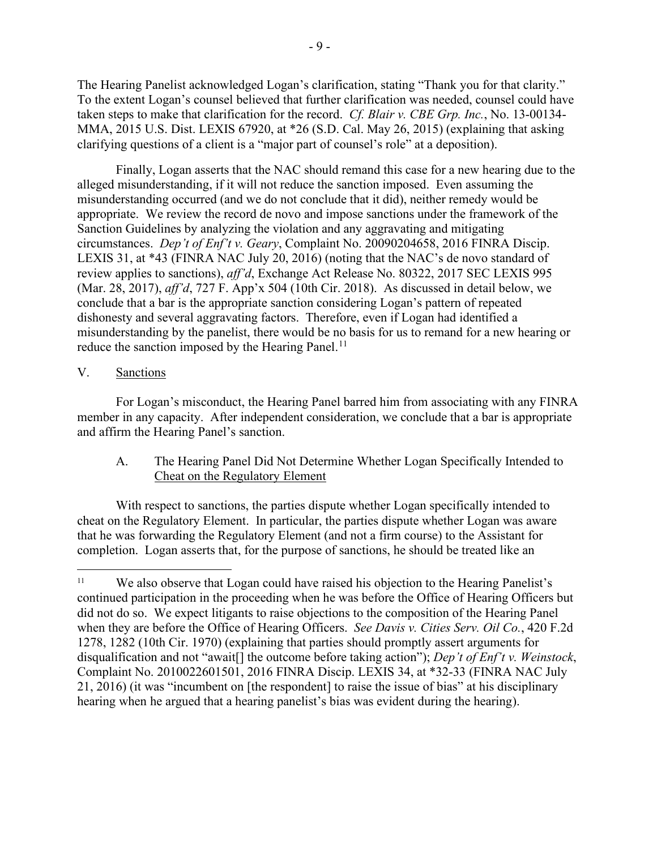The Hearing Panelist acknowledged Logan's clarification, stating "Thank you for that clarity." To the extent Logan's counsel believed that further clarification was needed, counsel could have taken steps to make that clarification for the record. *Cf. Blair v. CBE Grp. Inc.*, No. 13-00134- MMA, 2015 U.S. Dist. LEXIS 67920, at \*26 (S.D. Cal. May 26, 2015) (explaining that asking clarifying questions of a client is a "major part of counsel's role" at a deposition).

 Finally, Logan asserts that the NAC should remand this case for a new hearing due to the alleged misunderstanding, if it will not reduce the sanction imposed. Even assuming the misunderstanding occurred (and we do not conclude that it did), neither remedy would be appropriate. We review the record de novo and impose sanctions under the framework of the Sanction Guidelines by analyzing the violation and any aggravating and mitigating circumstances. *Dep't of Enf't v. Geary*, Complaint No. 20090204658, 2016 FINRA Discip. LEXIS 31, at \*43 (FINRA NAC July 20, 2016) (noting that the NAC's de novo standard of review applies to sanctions), *aff'd*, Exchange Act Release No. 80322, 2017 SEC LEXIS 995 (Mar. 28, 2017), *aff'd*, 727 F. App'x 504 (10th Cir. 2018). As discussed in detail below, we conclude that a bar is the appropriate sanction considering Logan's pattern of repeated dishonesty and several aggravating factors. Therefore, even if Logan had identified a misunderstanding by the panelist, there would be no basis for us to remand for a new hearing or reduce the sanction imposed by the Hearing Panel.<sup>[11](#page-8-0)</sup>

## V. Sanctions

For Logan's misconduct, the Hearing Panel barred him from associating with any FINRA member in any capacity. After independent consideration, we conclude that a bar is appropriate and affirm the Hearing Panel's sanction.

A. The Hearing Panel Did Not Determine Whether Logan Specifically Intended to Cheat on the Regulatory Element

With respect to sanctions, the parties dispute whether Logan specifically intended to cheat on the Regulatory Element. In particular, the parties dispute whether Logan was aware that he was forwarding the Regulatory Element (and not a firm course) to the Assistant for completion. Logan asserts that, for the purpose of sanctions, he should be treated like an

<span id="page-8-0"></span><sup>&</sup>lt;sup>11</sup> We also observe that Logan could have raised his objection to the Hearing Panelist's continued participation in the proceeding when he was before the Office of Hearing Officers but did not do so. We expect litigants to raise objections to the composition of the Hearing Panel when they are before the Office of Hearing Officers. *See Davis v. Cities Serv. Oil Co.*, 420 F.2d 1278, 1282 (10th Cir. 1970) (explaining that parties should promptly assert arguments for disqualification and not "await[] the outcome before taking action"); *Dep't of Enf't v. Weinstock*, Complaint No. 2010022601501, 2016 FINRA Discip. LEXIS 34, at \*32-33 (FINRA NAC July 21, 2016) (it was "incumbent on [the respondent] to raise the issue of bias" at his disciplinary hearing when he argued that a hearing panelist's bias was evident during the hearing).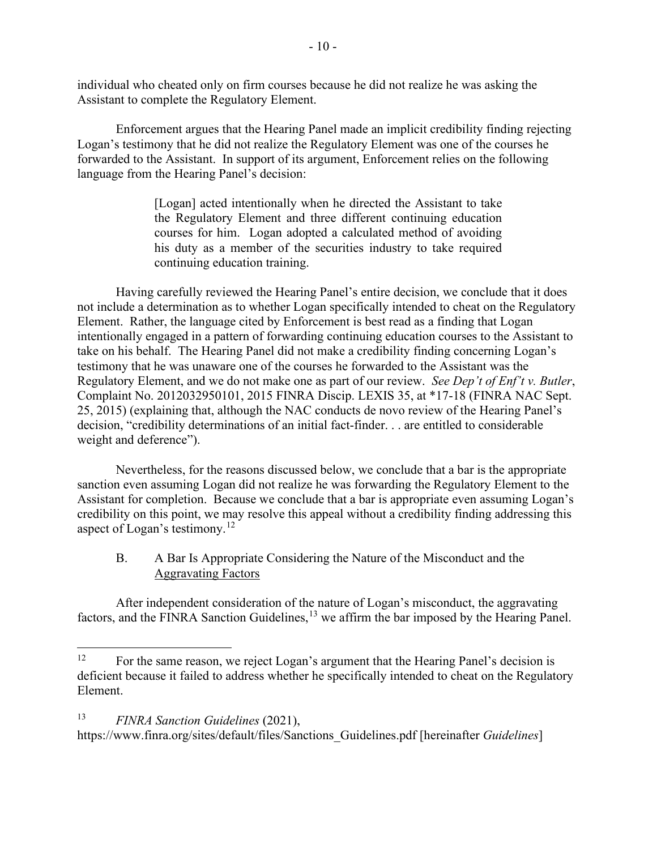individual who cheated only on firm courses because he did not realize he was asking the Assistant to complete the Regulatory Element.

Enforcement argues that the Hearing Panel made an implicit credibility finding rejecting Logan's testimony that he did not realize the Regulatory Element was one of the courses he forwarded to the Assistant. In support of its argument, Enforcement relies on the following language from the Hearing Panel's decision:

> [Logan] acted intentionally when he directed the Assistant to take the Regulatory Element and three different continuing education courses for him. Logan adopted a calculated method of avoiding his duty as a member of the securities industry to take required continuing education training.

 Having carefully reviewed the Hearing Panel's entire decision, we conclude that it does not include a determination as to whether Logan specifically intended to cheat on the Regulatory Element. Rather, the language cited by Enforcement is best read as a finding that Logan intentionally engaged in a pattern of forwarding continuing education courses to the Assistant to take on his behalf. The Hearing Panel did not make a credibility finding concerning Logan's testimony that he was unaware one of the courses he forwarded to the Assistant was the Regulatory Element, and we do not make one as part of our review. *See Dep't of Enf't v. Butler*, Complaint No. 2012032950101, 2015 FINRA Discip. LEXIS 35, at \*17-18 (FINRA NAC Sept. 25, 2015) (explaining that, although the NAC conducts de novo review of the Hearing Panel's decision, "credibility determinations of an initial fact-finder. . . are entitled to considerable weight and deference").

Nevertheless, for the reasons discussed below, we conclude that a bar is the appropriate sanction even assuming Logan did not realize he was forwarding the Regulatory Element to the Assistant for completion. Because we conclude that a bar is appropriate even assuming Logan's credibility on this point, we may resolve this appeal without a credibility finding addressing this aspect of Logan's testimony.<sup>[12](#page-9-0)</sup>

# B. A Bar Is Appropriate Considering the Nature of the Misconduct and the Aggravating Factors

After independent consideration of the nature of Logan's misconduct, the aggravating factors, and the FINRA Sanction Guidelines,  $^{13}$  $^{13}$  $^{13}$  we affirm the bar imposed by the Hearing Panel.

[https://www.finra.org/sites/default/files/Sanctions\\_Guidelines.pdf](https://www.finra.org/sites/default/files/Sanctions_Guidelines.pdf) [hereinafter *Guidelines*]

<span id="page-9-0"></span><sup>&</sup>lt;sup>12</sup> For the same reason, we reject Logan's argument that the Hearing Panel's decision is deficient because it failed to address whether he specifically intended to cheat on the Regulatory Element.

<span id="page-9-1"></span><sup>13</sup> *FINRA Sanction Guidelines* (2021),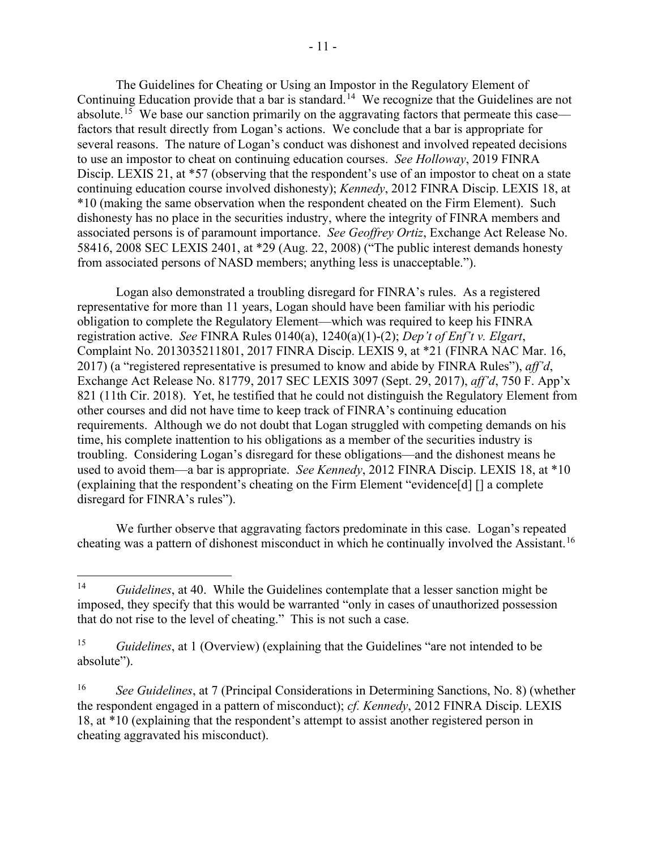The Guidelines for Cheating or Using an Impostor in the Regulatory Element of Continuing Education provide that a bar is standard.<sup>[14](#page-10-0)</sup> We recognize that the Guidelines are not absolute.<sup>15</sup> We base our sanction primarily on the aggravating factors that permeate this case factors that result directly from Logan's actions. We conclude that a bar is appropriate for several reasons. The nature of Logan's conduct was dishonest and involved repeated decisions to use an impostor to cheat on continuing education courses. *See Holloway*, 2019 FINRA Discip. LEXIS 21, at \*57 (observing that the respondent's use of an impostor to cheat on a state continuing education course involved dishonesty); *Kennedy*, 2012 FINRA Discip. LEXIS 18, at \*10 (making the same observation when the respondent cheated on the Firm Element). Such dishonesty has no place in the securities industry, where the integrity of FINRA members and associated persons is of paramount importance. *See Geoffrey Ortiz*, Exchange Act Release No. 58416, 2008 SEC LEXIS 2401, at \*29 (Aug. 22, 2008) ("The public interest demands honesty from associated persons of NASD members; anything less is unacceptable.").

Logan also demonstrated a troubling disregard for FINRA's rules. As a registered representative for more than 11 years, Logan should have been familiar with his periodic obligation to complete the Regulatory Element—which was required to keep his FINRA registration active. *See* FINRA Rules 0140(a), 1240(a)(1)-(2); *Dep't of Enf't v. Elgart*, Complaint No. 2013035211801, 2017 FINRA Discip. LEXIS 9, at \*21 (FINRA NAC Mar. 16, 2017) (a "registered representative is presumed to know and abide by FINRA Rules"), *aff'd*, Exchange Act Release No. 81779, 2017 SEC LEXIS 3097 (Sept. 29, 2017), *aff'd*, 750 F. App'x 821 (11th Cir. 2018). Yet, he testified that he could not distinguish the Regulatory Element from other courses and did not have time to keep track of FINRA's continuing education requirements. Although we do not doubt that Logan struggled with competing demands on his time, his complete inattention to his obligations as a member of the securities industry is troubling. Considering Logan's disregard for these obligations—and the dishonest means he used to avoid them—a bar is appropriate. *See Kennedy*, 2012 FINRA Discip. LEXIS 18, at \*10 (explaining that the respondent's cheating on the Firm Element "evidence[d] [] a complete disregard for FINRA's rules").

We further observe that aggravating factors predominate in this case. Logan's repeated cheating was a pattern of dishonest misconduct in which he continually involved the Assistant.<sup>[16](#page-10-2)</sup>

<span id="page-10-0"></span><sup>14</sup> *Guidelines*, at 40. While the Guidelines contemplate that a lesser sanction might be imposed, they specify that this would be warranted "only in cases of unauthorized possession that do not rise to the level of cheating." This is not such a case.

<span id="page-10-1"></span><sup>15</sup> *Guidelines*, at 1 (Overview) (explaining that the Guidelines "are not intended to be absolute").

<span id="page-10-2"></span><sup>16</sup> *See Guidelines*, at 7 (Principal Considerations in Determining Sanctions, No. 8) (whether the respondent engaged in a pattern of misconduct); *cf. Kennedy*, 2012 FINRA Discip. LEXIS 18, at \*10 (explaining that the respondent's attempt to assist another registered person in cheating aggravated his misconduct).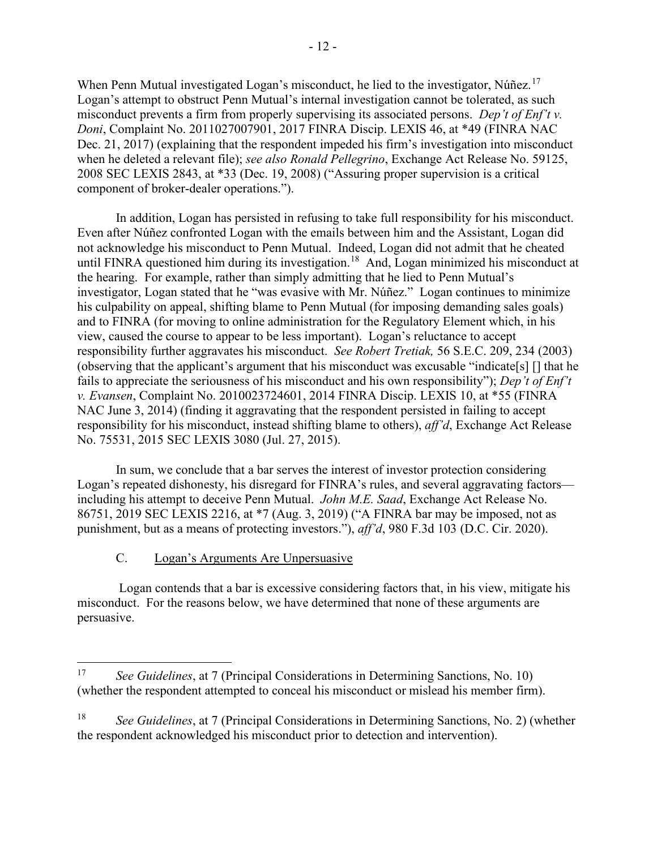When Penn Mutual investigated Logan's misconduct, he lied to the investigator, Núñez.<sup>[17](#page-11-0)</sup> Logan's attempt to obstruct Penn Mutual's internal investigation cannot be tolerated, as such misconduct prevents a firm from properly supervising its associated persons. *Dep't of Enf't v. Doni*, Complaint No. 2011027007901, 2017 FINRA Discip. LEXIS 46, at \*49 (FINRA NAC Dec. 21, 2017) (explaining that the respondent impeded his firm's investigation into misconduct when he deleted a relevant file); *see also Ronald Pellegrino*, Exchange Act Release No. 59125, 2008 SEC LEXIS 2843, at \*33 (Dec. 19, 2008) ("Assuring proper supervision is a critical component of broker-dealer operations.").

In addition, Logan has persisted in refusing to take full responsibility for his misconduct. Even after Núñez confronted Logan with the emails between him and the Assistant, Logan did not acknowledge his misconduct to Penn Mutual. Indeed, Logan did not admit that he cheated until FINRA questioned him during its investigation.<sup>[18](#page-11-1)</sup> And, Logan minimized his misconduct at the hearing. For example, rather than simply admitting that he lied to Penn Mutual's investigator, Logan stated that he "was evasive with Mr. Núñez." Logan continues to minimize his culpability on appeal, shifting blame to Penn Mutual (for imposing demanding sales goals) and to FINRA (for moving to online administration for the Regulatory Element which, in his view, caused the course to appear to be less important). Logan's reluctance to accept responsibility further aggravates his misconduct. *See Robert Tretiak,* 56 S.E.C. 209, 234 (2003) (observing that the applicant's argument that his misconduct was excusable "indicate[s] [] that he fails to appreciate the seriousness of his misconduct and his own responsibility"); *Dep't of Enf't v. Evansen*, Complaint No. 2010023724601, 2014 FINRA Discip. LEXIS 10, at \*55 (FINRA NAC June 3, 2014) (finding it aggravating that the respondent persisted in failing to accept responsibility for his misconduct, instead shifting blame to others), *aff'd*, Exchange Act Release No. 75531, 2015 SEC LEXIS 3080 (Jul. 27, 2015).

In sum, we conclude that a bar serves the interest of investor protection considering Logan's repeated dishonesty, his disregard for FINRA's rules, and several aggravating factors including his attempt to deceive Penn Mutual. *John M.E. Saad*, Exchange Act Release No. 86751, 2019 SEC LEXIS 2216, at \*7 (Aug. 3, 2019) ("A FINRA bar may be imposed, not as punishment, but as a means of protecting investors."), *aff'd*, 980 F.3d 103 (D.C. Cir. 2020).

# C. Logan's Arguments Are Unpersuasive

 Logan contends that a bar is excessive considering factors that, in his view, mitigate his misconduct. For the reasons below, we have determined that none of these arguments are persuasive.

<span id="page-11-0"></span><sup>17</sup> *See Guidelines*, at 7 (Principal Considerations in Determining Sanctions, No. 10) (whether the respondent attempted to conceal his misconduct or mislead his member firm).

<span id="page-11-1"></span><sup>18</sup> *See Guidelines*, at 7 (Principal Considerations in Determining Sanctions, No. 2) (whether the respondent acknowledged his misconduct prior to detection and intervention).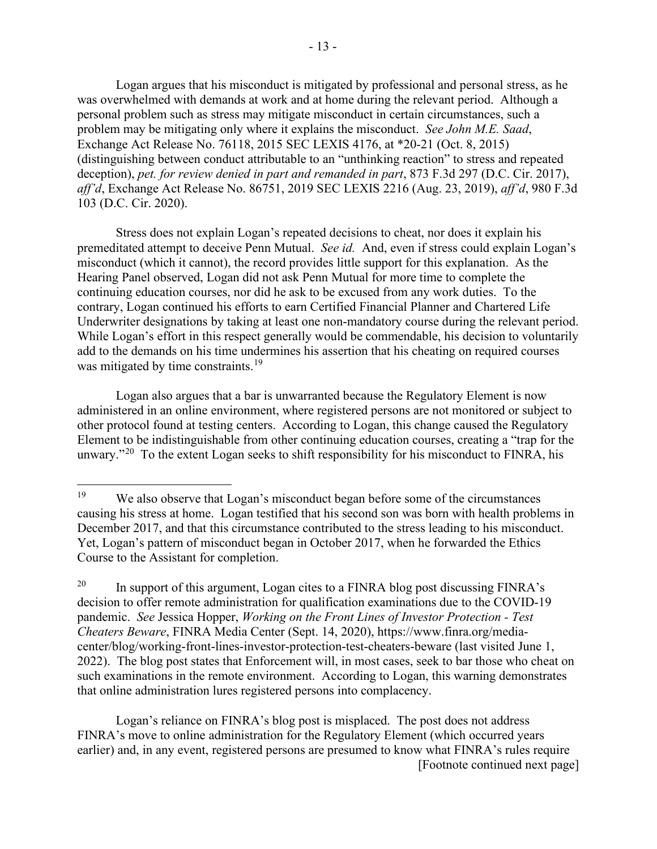Logan argues that his misconduct is mitigated by professional and personal stress, as he was overwhelmed with demands at work and at home during the relevant period. Although a personal problem such as stress may mitigate misconduct in certain circumstances, such a problem may be mitigating only where it explains the misconduct. *See John M.E. Saad*, Exchange Act Release No. 76118, 2015 SEC LEXIS 4176, at \*20-21 (Oct. 8, 2015) (distinguishing between conduct attributable to an "unthinking reaction" to stress and repeated deception), *pet. for review denied in part and remanded in part*, 873 F.3d 297 (D.C. Cir. 2017),

*aff'd*, Exchange Act Release No. 86751, 2019 SEC LEXIS 2216 (Aug. 23, 2019), *aff'd*, 980 F.3d 103 (D.C. Cir. 2020).

Stress does not explain Logan's repeated decisions to cheat, nor does it explain his premeditated attempt to deceive Penn Mutual. *See id.* And, even if stress could explain Logan's misconduct (which it cannot), the record provides little support for this explanation. As the Hearing Panel observed, Logan did not ask Penn Mutual for more time to complete the continuing education courses, nor did he ask to be excused from any work duties. To the contrary, Logan continued his efforts to earn Certified Financial Planner and Chartered Life Underwriter designations by taking at least one non-mandatory course during the relevant period. While Logan's effort in this respect generally would be commendable, his decision to voluntarily add to the demands on his time undermines his assertion that his cheating on required courses was mitigated by time constraints.<sup>[19](#page-12-0)</sup>

Logan also argues that a bar is unwarranted because the Regulatory Element is now administered in an online environment, where registered persons are not monitored or subject to other protocol found at testing centers. According to Logan, this change caused the Regulatory Element to be indistinguishable from other continuing education courses, creating a "trap for the unwary."<sup>[20](#page-12-1)</sup> To the extent Logan seeks to shift responsibility for his misconduct to FINRA, his

 Logan's reliance on FINRA's blog post is misplaced. The post does not address FINRA's move to online administration for the Regulatory Element (which occurred years earlier) and, in any event, registered persons are presumed to know what FINRA's rules require [Footnote continued next page]

<span id="page-12-0"></span><sup>&</sup>lt;sup>19</sup> We also observe that Logan's misconduct began before some of the circumstances causing his stress at home. Logan testified that his second son was born with health problems in December 2017, and that this circumstance contributed to the stress leading to his misconduct. Yet, Logan's pattern of misconduct began in October 2017, when he forwarded the Ethics Course to the Assistant for completion.

<span id="page-12-1"></span><sup>&</sup>lt;sup>20</sup> In support of this argument, Logan cites to a FINRA blog post discussing FINRA's decision to offer remote administration for qualification examinations due to the COVID-19 pandemic. *See* Jessica Hopper, *Working on the Front Lines of Investor Protection - Test Cheaters Beware*, FINRA Media Center (Sept. 14, 2020), [https://www.finra.org/media](https://www.finra.org/media-center/blog/working-front-lines-investor-protection-test-cheaters-beware)[center/blog/working-front-lines-investor-protection-test-cheaters-beware](https://www.finra.org/media-center/blog/working-front-lines-investor-protection-test-cheaters-beware) (last visited June 1, 2022). The blog post states that Enforcement will, in most cases, seek to bar those who cheat on such examinations in the remote environment. According to Logan, this warning demonstrates that online administration lures registered persons into complacency.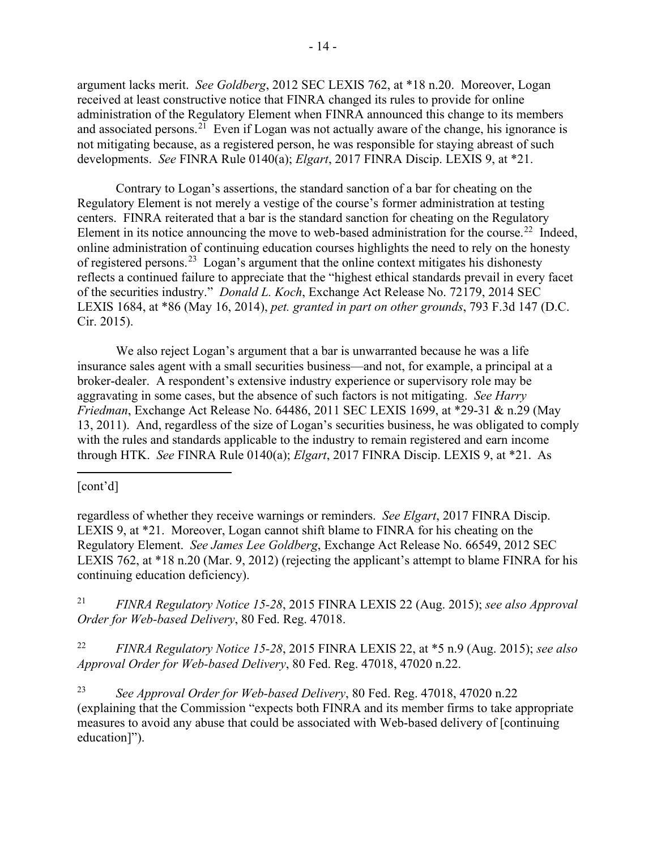argument lacks merit. *See Goldberg*, 2012 SEC LEXIS 762, at \*18 n.20. Moreover, Logan received at least constructive notice that FINRA changed its rules to provide for online administration of the Regulatory Element when FINRA announced this change to its members and associated persons.<sup>21</sup> Even if Logan was not actually aware of the change, his ignorance is not mitigating because, as a registered person, he was responsible for staying abreast of such developments. *See* FINRA Rule 0140(a); *Elgart*, 2017 FINRA Discip. LEXIS 9, at \*21.

Contrary to Logan's assertions, the standard sanction of a bar for cheating on the Regulatory Element is not merely a vestige of the course's former administration at testing centers. FINRA reiterated that a bar is the standard sanction for cheating on the Regulatory Element in its notice announcing the move to web-based administration for the course.<sup>22</sup> Indeed, online administration of continuing education courses highlights the need to rely on the honesty of registered persons.<sup>23</sup> Logan's argument that the online context mitigates his dishonesty reflects a continued failure to appreciate that the "highest ethical standards prevail in every facet of the securities industry." *Donald L. Koch*, Exchange Act Release No. 72179, 2014 SEC LEXIS 1684, at \*86 (May 16, 2014), *pet. granted in part on other grounds*, 793 F.3d 147 (D.C. Cir. 2015).

We also reject Logan's argument that a bar is unwarranted because he was a life insurance sales agent with a small securities business—and not, for example, a principal at a broker-dealer. A respondent's extensive industry experience or supervisory role may be aggravating in some cases, but the absence of such factors is not mitigating. *See Harry Friedman*, Exchange Act Release No. 64486, 2011 SEC LEXIS 1699, at \*29-31 & n.29 (May 13, 2011). And, regardless of the size of Logan's securities business, he was obligated to comply with the rules and standards applicable to the industry to remain registered and earn income through HTK. *See* FINRA Rule 0140(a); *Elgart*, 2017 FINRA Discip. LEXIS 9, at \*21. As

## [cont'd]

regardless of whether they receive warnings or reminders. *See Elgart*, 2017 FINRA Discip. LEXIS 9, at \*21. Moreover, Logan cannot shift blame to FINRA for his cheating on the Regulatory Element. *See James Lee Goldberg*, Exchange Act Release No. 66549, 2012 SEC LEXIS 762, at \*18 n.20 (Mar. 9, 2012) (rejecting the applicant's attempt to blame FINRA for his continuing education deficiency).

<span id="page-13-0"></span>21 *FINRA Regulatory Notice 15-28*, 2015 FINRA LEXIS 22 (Aug. 2015); *see also Approval Order for Web-based Delivery*, 80 Fed. Reg. 47018.

<span id="page-13-1"></span>22 *FINRA Regulatory Notice 15-28*, 2015 FINRA LEXIS 22, at \*5 n.9 (Aug. 2015); *see also Approval Order for Web-based Delivery*, 80 Fed. Reg. 47018, 47020 n.22.

<span id="page-13-2"></span>23 *See Approval Order for Web-based Delivery*, 80 Fed. Reg. 47018, 47020 n.22 (explaining that the Commission "expects both FINRA and its member firms to take appropriate measures to avoid any abuse that could be associated with Web-based delivery of [continuing education]").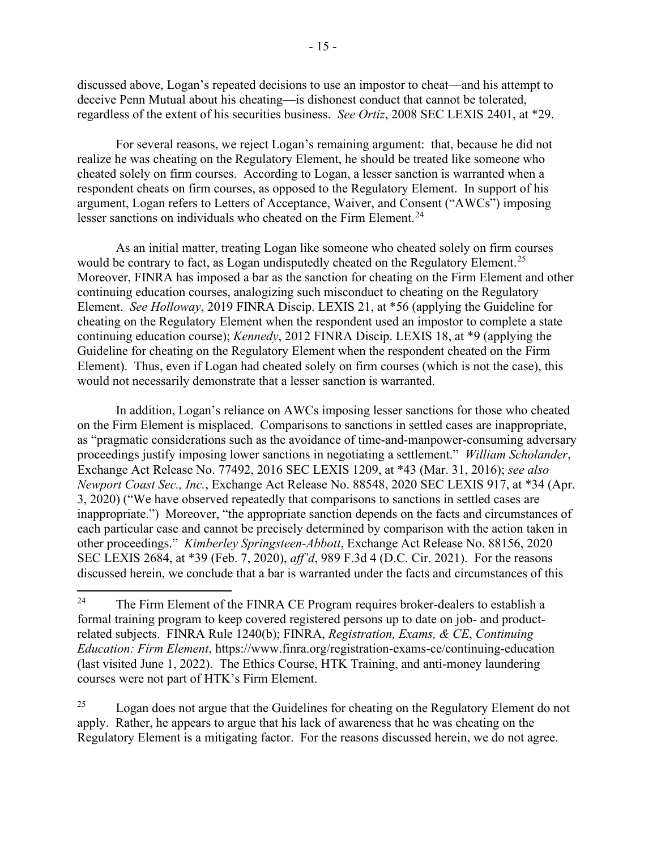discussed above, Logan's repeated decisions to use an impostor to cheat—and his attempt to deceive Penn Mutual about his cheating—is dishonest conduct that cannot be tolerated, regardless of the extent of his securities business. *See Ortiz*, 2008 SEC LEXIS 2401, at \*29.

For several reasons, we reject Logan's remaining argument: that, because he did not realize he was cheating on the Regulatory Element, he should be treated like someone who cheated solely on firm courses. According to Logan, a lesser sanction is warranted when a respondent cheats on firm courses, as opposed to the Regulatory Element. In support of his argument, Logan refers to Letters of Acceptance, Waiver, and Consent ("AWCs") imposing lesser sanctions on individuals who cheated on the Firm Element.<sup>[24](#page-14-0)</sup>

As an initial matter, treating Logan like someone who cheated solely on firm courses would be contrary to fact, as Logan undisputedly cheated on the Regulatory Element.<sup>[25](#page-14-1)</sup> Moreover, FINRA has imposed a bar as the sanction for cheating on the Firm Element and other continuing education courses, analogizing such misconduct to cheating on the Regulatory Element. *See Holloway*, 2019 FINRA Discip. LEXIS 21, at \*56 (applying the Guideline for cheating on the Regulatory Element when the respondent used an impostor to complete a state continuing education course); *Kennedy*, 2012 FINRA Discip. LEXIS 18, at \*9 (applying the Guideline for cheating on the Regulatory Element when the respondent cheated on the Firm Element). Thus, even if Logan had cheated solely on firm courses (which is not the case), this would not necessarily demonstrate that a lesser sanction is warranted.

In addition, Logan's reliance on AWCs imposing lesser sanctions for those who cheated on the Firm Element is misplaced. Comparisons to sanctions in settled cases are inappropriate, as "pragmatic considerations such as the avoidance of time-and-manpower-consuming adversary proceedings justify imposing lower sanctions in negotiating a settlement." *William Scholander*, Exchange Act Release No. 77492, 2016 SEC LEXIS 1209, at \*43 (Mar. 31, 2016); *see also Newport Coast Sec., Inc.*, Exchange Act Release No. 88548, 2020 SEC LEXIS 917, at \*34 (Apr. 3, 2020) ("We have observed repeatedly that comparisons to sanctions in settled cases are inappropriate.") Moreover, "the appropriate sanction depends on the facts and circumstances of each particular case and cannot be precisely determined by comparison with the action taken in other proceedings." *Kimberley Springsteen-Abbott*, Exchange Act Release No. 88156, 2020 SEC LEXIS 2684, at \*39 (Feb. 7, 2020), *aff'd*, 989 F.3d 4 (D.C. Cir. 2021). For the reasons discussed herein, we conclude that a bar is warranted under the facts and circumstances of this

<span id="page-14-1"></span> $25$  Logan does not argue that the Guidelines for cheating on the Regulatory Element do not apply. Rather, he appears to argue that his lack of awareness that he was cheating on the Regulatory Element is a mitigating factor. For the reasons discussed herein, we do not agree.

<span id="page-14-0"></span><sup>&</sup>lt;sup>24</sup> The Firm Element of the FINRA CE Program requires broker-dealers to establish a formal training program to keep covered registered persons up to date on job- and productrelated subjects. FINRA Rule 1240(b); FINRA, *Registration, Exams, & CE*, *Continuing Education: Firm Element*,<https://www.finra.org/registration-exams-ce/continuing-education> (last visited June 1, 2022). The Ethics Course, HTK Training, and anti-money laundering courses were not part of HTK's Firm Element.